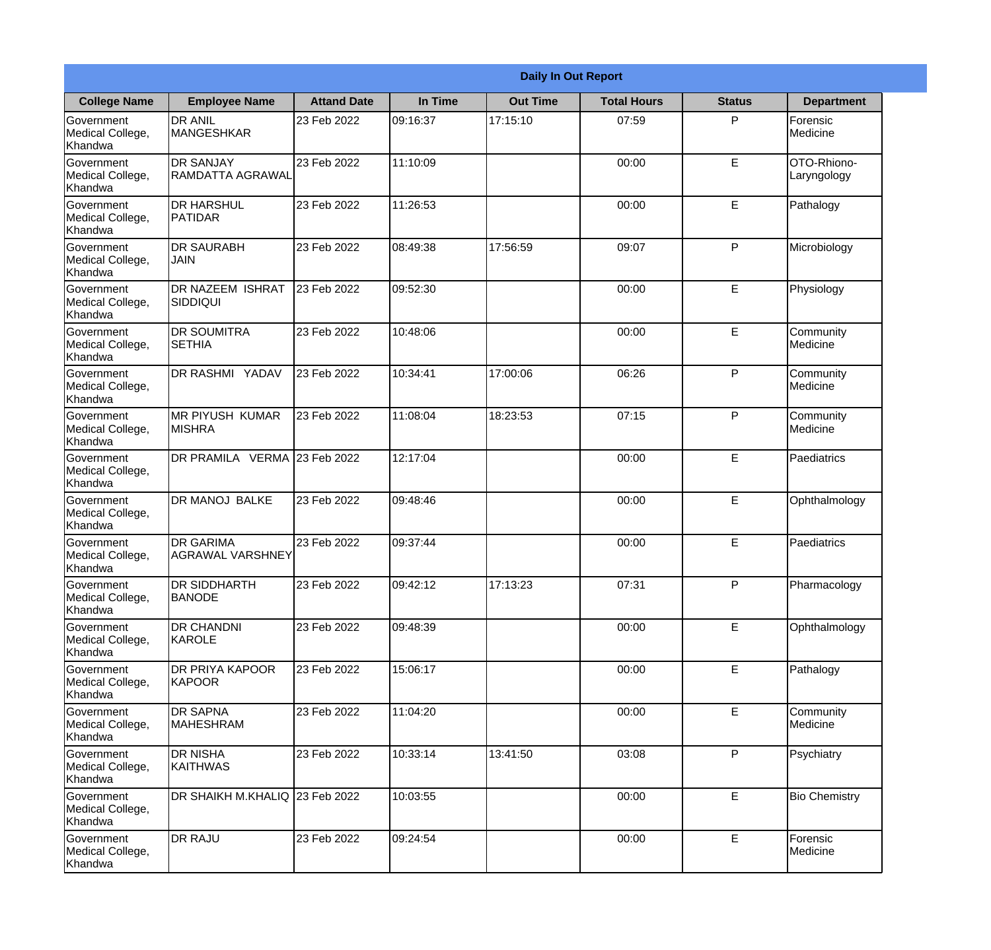|                                                  |                                             |                    |          | <b>Daily In Out Report</b> |                    |               |                            |
|--------------------------------------------------|---------------------------------------------|--------------------|----------|----------------------------|--------------------|---------------|----------------------------|
| <b>College Name</b>                              | <b>Employee Name</b>                        | <b>Attand Date</b> | In Time  | <b>Out Time</b>            | <b>Total Hours</b> | <b>Status</b> | <b>Department</b>          |
| Government<br>Medical College,<br>Khandwa        | <b>DR ANIL</b><br><b>MANGESHKAR</b>         | 23 Feb 2022        | 09:16:37 | 17:15:10                   | 07:59              | P             | Forensic<br>Medicine       |
| Government<br>Medical College,<br>Khandwa        | <b>DR SANJAY</b><br><b>RAMDATTA AGRAWAL</b> | 23 Feb 2022        | 11:10:09 |                            | 00:00              | E             | OTO-Rhiono-<br>Laryngology |
| <b>Government</b><br>Medical College,<br>Khandwa | <b>DR HARSHUL</b><br><b>PATIDAR</b>         | 23 Feb 2022        | 11:26:53 |                            | 00:00              | E             | Pathalogy                  |
| Government<br>Medical College,<br>Khandwa        | <b>DR SAURABH</b><br><b>JAIN</b>            | 23 Feb 2022        | 08:49:38 | 17:56:59                   | 09:07              | P             | Microbiology               |
| Government<br>Medical College,<br>Khandwa        | <b>DR NAZEEM ISHRAT</b><br><b>SIDDIQUI</b>  | 23 Feb 2022        | 09:52:30 |                            | 00:00              | E             | Physiology                 |
| Government<br>Medical College,<br>Khandwa        | <b>DR SOUMITRA</b><br><b>SETHIA</b>         | 23 Feb 2022        | 10:48:06 |                            | 00:00              | E             | Community<br>Medicine      |
| Government<br>Medical College,<br>Khandwa        | DR RASHMI YADAV                             | 23 Feb 2022        | 10:34:41 | 17:00:06                   | 06:26              | P             | Community<br>Medicine      |
| Government<br>Medical College,<br>Khandwa        | <b>MR PIYUSH KUMAR</b><br><b>MISHRA</b>     | 23 Feb 2022        | 11:08:04 | 18:23:53                   | 07:15              | P             | Community<br>Medicine      |
| Government<br>Medical College,<br>Khandwa        | DR PRAMILA VERMA 23 Feb 2022                |                    | 12:17:04 |                            | 00:00              | E             | Paediatrics                |
| Government<br>Medical College,<br>Khandwa        | <b>DR MANOJ BALKE</b>                       | 23 Feb 2022        | 09:48:46 |                            | 00:00              | E             | Ophthalmology              |
| Government<br>Medical College,<br>Khandwa        | <b>DR GARIMA</b><br><b>AGRAWAL VARSHNEY</b> | 23 Feb 2022        | 09:37:44 |                            | 00:00              | E             | Paediatrics                |
| Government<br>Medical College,<br>Khandwa        | <b>DR SIDDHARTH</b><br><b>BANODE</b>        | 23 Feb 2022        | 09:42:12 | 17:13:23                   | 07:31              | P             | Pharmacology               |
| Government<br>Medical College,<br>Khandwa        | <b>DR CHANDNI</b><br>KAROLE                 | 23 Feb 2022        | 09:48:39 |                            | 00:00              | E             | Ophthalmology              |
| Government<br>Medical College,<br>Khandwa        | DR PRIYA KAPOOR<br><b>KAPOOR</b>            | 23 Feb 2022        | 15:06:17 |                            | 00:00              | E             | Pathalogy                  |
| <b>Government</b><br>Medical College,<br>Khandwa | <b>DR SAPNA</b><br><b>MAHESHRAM</b>         | 23 Feb 2022        | 11:04:20 |                            | 00:00              | E             | Community<br>Medicine      |
| Government<br>Medical College,<br>Khandwa        | <b>DR NISHA</b><br><b>KAITHWAS</b>          | 23 Feb 2022        | 10:33:14 | 13:41:50                   | 03:08              | P             | Psychiatry                 |
| Government<br>Medical College,<br>Khandwa        | DR SHAIKH M.KHALIQ 23 Feb 2022              |                    | 10:03:55 |                            | 00:00              | E             | <b>Bio Chemistry</b>       |
| Government<br>Medical College,<br>Khandwa        | <b>DR RAJU</b>                              | 23 Feb 2022        | 09:24:54 |                            | 00:00              | E             | Forensic<br>Medicine       |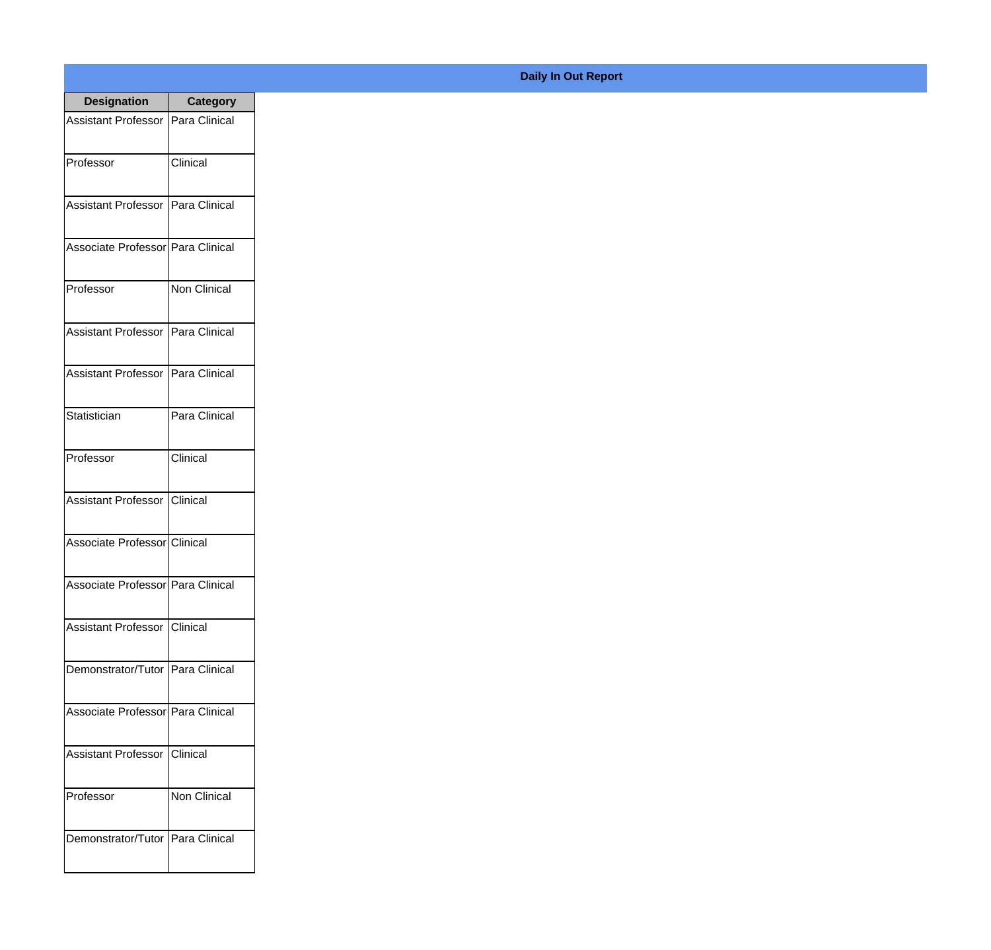| <b>Designation</b>                  | <b>Category</b> |
|-------------------------------------|-----------------|
| Assistant Professor   Para Clinical |                 |
| Professor                           | Clinical        |
| Assistant Professor   Para Clinical |                 |
| Associate Professor   Para Clinical |                 |
| Professor                           | Non Clinical    |
| Assistant Professor   Para Clinical |                 |
| <b>Assistant Professor</b>          | Para Clinical   |
| Statistician                        | Para Clinical   |
| Professor                           | Clinical        |
| Assistant Professor Clinical        |                 |
| Associate Professor Clinical        |                 |
| Associate Professor Para Clinical   |                 |
| Assistant Professor   Clinical      |                 |
| Demonstrator/Tutor   Para Clinical  |                 |
| Associate Professor Para Clinical   |                 |
| <b>Assistant Professor</b>          | <b>Clinical</b> |
| Professor                           | Non Clinical    |
| Demonstrator/Tutor   Para Clinical  |                 |

## **Daily In Out Report**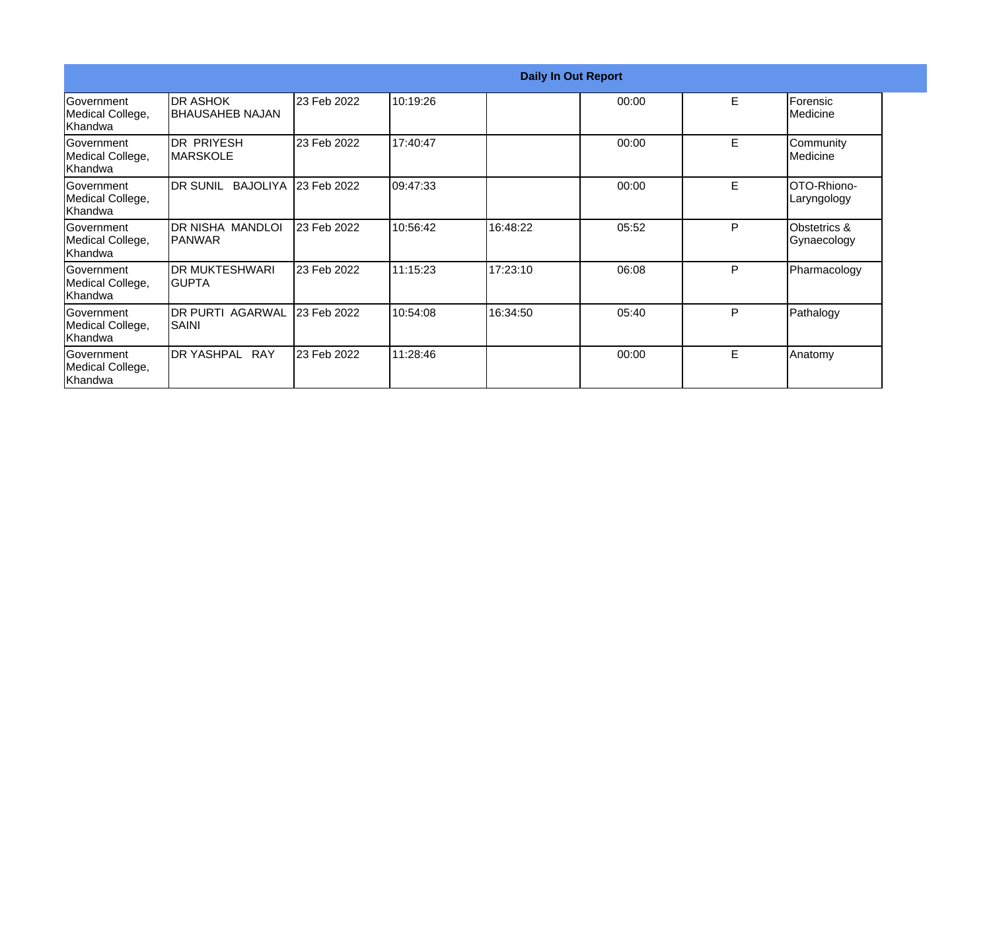|                                            |                                             |             |          | <b>Daily In Out Report</b> |       |   |                             |
|--------------------------------------------|---------------------------------------------|-------------|----------|----------------------------|-------|---|-----------------------------|
| Government<br>Medical College,<br> Khandwa | <b>IDR ASHOK</b><br><b>IBHAUSAHEB NAJAN</b> | 23 Feb 2022 | 10:19:26 |                            | 00:00 | E | Forensic<br>Medicine        |
| lGovernment<br>Medical College,<br>Khandwa | IDR PRIYESH<br><b>IMARSKOLE</b>             | 23 Feb 2022 | 17:40:47 |                            | 00:00 | E | Community<br>Medicine       |
| Government<br>Medical College,<br> Khandwa | DR SUNIL BAJOLIYA 123 Feb 2022              |             | 09:47:33 |                            | 00:00 | E | OTO-Rhiono-<br>Laryngology  |
| Government<br>Medical College,<br>Khandwa  | IDR NISHA MANDLOI<br>IPANWAR                | 23 Feb 2022 | 10:56:42 | 16:48:22                   | 05:52 | P | Obstetrics &<br>Gynaecology |
| lGovernment<br>Medical College,<br>Khandwa | IDR MUKTESHWARI<br>IGUPTA                   | 23 Feb 2022 | 11:15:23 | 17:23:10                   | 06:08 | P | Pharmacology                |
| lGovernment<br>Medical College,<br>Khandwa | IDR PURTI AGARWAL<br><b>SAINI</b>           | 23 Feb 2022 | 10:54:08 | 16:34:50                   | 05:40 | P | Pathalogy                   |
| Government<br>Medical College,<br>Khandwa  | DR YASHPAL RAY                              | 23 Feb 2022 | 11:28:46 |                            | 00:00 | E | Anatomy                     |